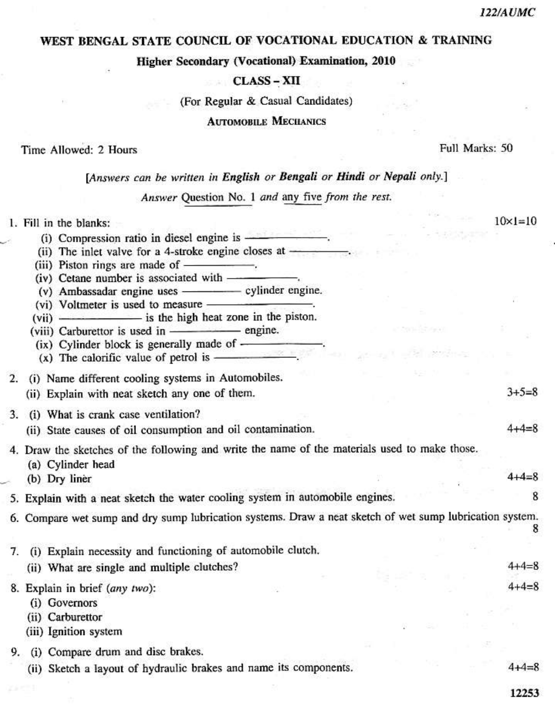## WEST BENGAL STATE COUNCIL OF VOCATIONAL EDUCATION & TRAINING

#### **Higher Secondary (Vocational) Examination, 2010**

## **CLASS - XII**

(For Regular & Casual Candidates)

#### **AUTOMOBILE MECHANICS**

#### Time Allowed: 2 Hours

Full Marks: 50

# [Answers can be written in English or Bengali or Hindi or Nepali only.]

Answer Question No. 1 and any five from the rest.

|    | 1. Fill in the blanks:                                                                                                                                                                                                                                                                                                                                                             | $10 \times 1 = 10$ |
|----|------------------------------------------------------------------------------------------------------------------------------------------------------------------------------------------------------------------------------------------------------------------------------------------------------------------------------------------------------------------------------------|--------------------|
|    | (i) Compression ratio in diesel engine is <b>expansion</b> .                                                                                                                                                                                                                                                                                                                       |                    |
|    | (ii) The inlet valve for a 4-stroke engine closes at $\frac{1}{\sqrt{1-\frac{1}{\sqrt{1-\frac{1}{\sqrt{1-\frac{1}{\sqrt{1-\frac{1}{\sqrt{1-\frac{1}{\sqrt{1-\frac{1}{\sqrt{1-\frac{1}{\sqrt{1-\frac{1}{\sqrt{1-\frac{1}{\sqrt{1-\frac{1}{\sqrt{1-\frac{1}{\sqrt{1-\frac{1}{\sqrt{1-\frac{1}{\sqrt{1-\frac{1}{\sqrt{1-\frac{1}{\sqrt{1-\frac{1}{\sqrt{1-\frac{1}{\sqrt{1-\frac{1}{$ |                    |
|    |                                                                                                                                                                                                                                                                                                                                                                                    |                    |
|    | (iv) Cetane number is associated with --                                                                                                                                                                                                                                                                                                                                           |                    |
|    | (v) Ambassadar engine uses - cylinder engine.                                                                                                                                                                                                                                                                                                                                      |                    |
|    | (vi) Voltmeter is used to measure ——————————                                                                                                                                                                                                                                                                                                                                       |                    |
|    | (vii) - is the high heat zone in the piston.                                                                                                                                                                                                                                                                                                                                       |                    |
|    | (viii) Carburettor is used in - engine.                                                                                                                                                                                                                                                                                                                                            |                    |
|    | (ix) Cylinder block is generally made of $\overline{\hspace{1cm}}$ .<br>(x) The calorific value of petrol is $\overline{\hspace{1cm}}$ .                                                                                                                                                                                                                                           |                    |
|    |                                                                                                                                                                                                                                                                                                                                                                                    |                    |
|    | 2. (i) Name different cooling systems in Automobiles.                                                                                                                                                                                                                                                                                                                              |                    |
|    | (ii) Explain with neat sketch any one of them.                                                                                                                                                                                                                                                                                                                                     | $3 + 5 = 8$        |
|    | 3. (i) What is crank case ventilation?                                                                                                                                                                                                                                                                                                                                             |                    |
|    |                                                                                                                                                                                                                                                                                                                                                                                    |                    |
|    | (ii) State causes of oil consumption and oil contamination.                                                                                                                                                                                                                                                                                                                        |                    |
|    | 4. Draw the sketches of the following and write the name of the materials used to make those.                                                                                                                                                                                                                                                                                      |                    |
|    | (a) Cylinder head                                                                                                                                                                                                                                                                                                                                                                  |                    |
|    | (b) Dry liner                                                                                                                                                                                                                                                                                                                                                                      | $4 + 4 = 8$        |
|    | 5. Explain with a neat sketch the water cooling system in automobile engines.                                                                                                                                                                                                                                                                                                      | 8                  |
|    | 6. Compare wet sump and dry sump lubrication systems. Draw a neat sketch of wet sump lubrication system.                                                                                                                                                                                                                                                                           |                    |
|    |                                                                                                                                                                                                                                                                                                                                                                                    |                    |
| 7. | (i) Explain necessity and functioning of automobile clutch.                                                                                                                                                                                                                                                                                                                        |                    |
|    | (ii) What are single and multiple clutches?                                                                                                                                                                                                                                                                                                                                        | $4 + 4 = 8$        |
|    |                                                                                                                                                                                                                                                                                                                                                                                    |                    |
|    | 8. Explain in brief (any two):                                                                                                                                                                                                                                                                                                                                                     | $4 + 4 = 8$        |
|    | (i) Governors                                                                                                                                                                                                                                                                                                                                                                      |                    |
|    | (ii) Carburettor                                                                                                                                                                                                                                                                                                                                                                   |                    |
|    | (iii) Ignition system                                                                                                                                                                                                                                                                                                                                                              |                    |
|    | 9. (i) Compare drum and disc brakes.                                                                                                                                                                                                                                                                                                                                               |                    |
|    | (ii) Sketch a layout of hydraulic brakes and name its components.                                                                                                                                                                                                                                                                                                                  | $4 + 4 = 8$        |
|    |                                                                                                                                                                                                                                                                                                                                                                                    | 12253              |